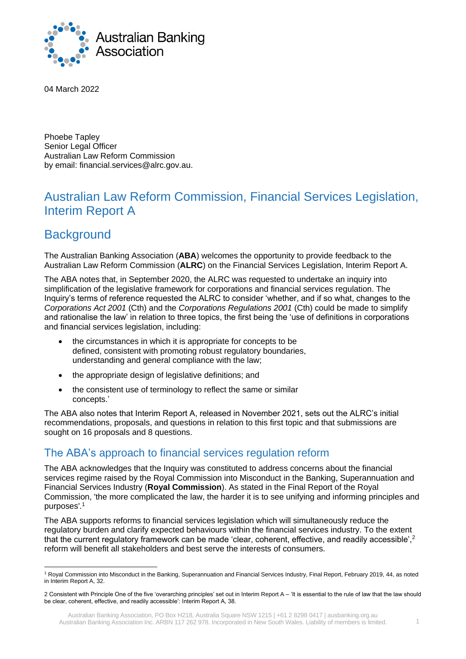

04 March 2022

Phoebe Tapley Senior Legal Officer Australian Law Reform Commission by email: financial.services@alrc.gov.au.

# Australian Law Reform Commission, Financial Services Legislation, Interim Report A

# **Background**

The Australian Banking Association (**ABA**) welcomes the opportunity to provide feedback to the Australian Law Reform Commission (**ALRC**) on the Financial Services Legislation, Interim Report A.

The ABA notes that, in September 2020, the ALRC was requested to undertake an inquiry into simplification of the legislative framework for corporations and financial services regulation. The Inquiry's terms of reference requested the ALRC to consider 'whether, and if so what, changes to the *Corporations Act 2001* (Cth) and the *Corporations Regulations 2001* (Cth) could be made to simplify and rationalise the law' in relation to three topics, the first being the 'use of definitions in corporations and financial services legislation, including:

- the circumstances in which it is appropriate for concepts to be defined, consistent with promoting robust regulatory boundaries, understanding and general compliance with the law;
- the appropriate design of legislative definitions; and
- the consistent use of terminology to reflect the same or similar concepts.'

The ABA also notes that Interim Report A, released in November 2021, sets out the ALRC's initial recommendations, proposals, and questions in relation to this first topic and that submissions are sought on 16 proposals and 8 questions.

## The ABA's approach to financial services regulation reform

The ABA acknowledges that the Inquiry was constituted to address concerns about the financial services regime raised by the Royal Commission into Misconduct in the Banking, Superannuation and Financial Services Industry (**Royal Commission**). As stated in the Final Report of the Royal Commission, 'the more complicated the law, the harder it is to see unifying and informing principles and purposes'*.* 1

The ABA supports reforms to financial services legislation which will simultaneously reduce the regulatory burden and clarify expected behaviours within the financial services industry. To the extent that the current regulatory framework can be made 'clear, coherent, effective, and readily accessible', <sup>2</sup> reform will benefit all stakeholders and best serve the interests of consumers.

<sup>1</sup> Royal Commission into Misconduct in the Banking, Superannuation and Financial Services Industry, Final Report, February 2019, 44, as noted in Interim Report A, 32.

<sup>2</sup> Consistent with Principle One of the five 'overarching principles' set out in Interim Report A – 'It is essential to the rule of law that the law should be clear, coherent, effective, and readily accessible': Interim Report A, 38.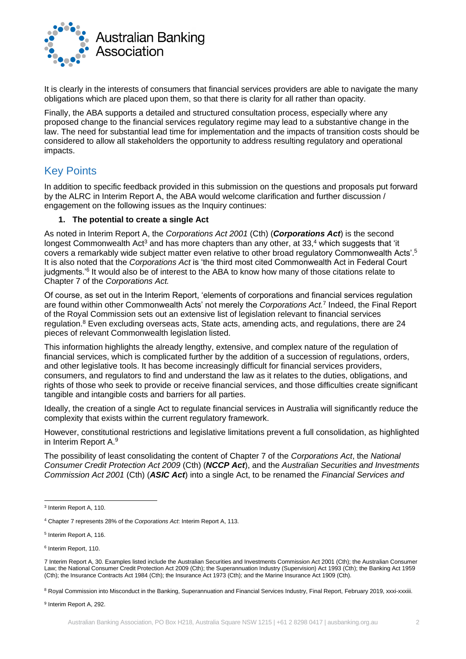

It is clearly in the interests of consumers that financial services providers are able to navigate the many obligations which are placed upon them, so that there is clarity for all rather than opacity.

Finally, the ABA supports a detailed and structured consultation process, especially where any proposed change to the financial services regulatory regime may lead to a substantive change in the law. The need for substantial lead time for implementation and the impacts of transition costs should be considered to allow all stakeholders the opportunity to address resulting regulatory and operational impacts.

## Key Points

In addition to specific feedback provided in this submission on the questions and proposals put forward by the ALRC in Interim Report A, the ABA would welcome clarification and further discussion / engagement on the following issues as the Inquiry continues:

## **1. The potential to create a single Act**

As noted in Interim Report A, the *Corporations Act 2001* (Cth) (*Corporations Act*) is the second longest Commonwealth Act<sup>3</sup> and has more chapters than any other, at  $33,4$  which suggests that 'it covers a remarkably wide subject matter even relative to other broad regulatory Commonwealth Acts'.<sup>5</sup> It is also noted that the *Corporations Act* is 'the third most cited Commonwealth Act in Federal Court judgments.<sup>'6</sup> It would also be of interest to the ABA to know how many of those citations relate to Chapter 7 of the *Corporations Act.*

Of course, as set out in the Interim Report, 'elements of corporations and financial services regulation are found within other Commonwealth Acts' not merely the *Corporations Act.*<sup>7</sup> Indeed, the Final Report of the Royal Commission sets out an extensive list of legislation relevant to financial services regulation.<sup>8</sup> Even excluding overseas acts, State acts, amending acts, and regulations, there are 24 pieces of relevant Commonwealth legislation listed.

This information highlights the already lengthy, extensive, and complex nature of the regulation of financial services, which is complicated further by the addition of a succession of regulations, orders, and other legislative tools. It has become increasingly difficult for financial services providers, consumers, and regulators to find and understand the law as it relates to the duties, obligations, and rights of those who seek to provide or receive financial services, and those difficulties create significant tangible and intangible costs and barriers for all parties.

Ideally, the creation of a single Act to regulate financial services in Australia will significantly reduce the complexity that exists within the current regulatory framework.

However, constitutional restrictions and legislative limitations prevent a full consolidation, as highlighted in Interim Report A.<sup>9</sup>

The possibility of least consolidating the content of Chapter 7 of the *Corporations Act*, the *National Consumer Credit Protection Act 2009* (Cth) (*NCCP Act*), and the *Australian Securities and Investments Commission Act 2001* (Cth) (*ASIC Act*) into a single Act, to be renamed the *Financial Services and* 

<sup>3</sup> Interim Report A, 110.

<sup>4</sup> Chapter 7 represents 28% of the *Corporations Act*: Interim Report A, 113.

<sup>5</sup> Interim Report A, 116.

<sup>6</sup> Interim Report, 110.

<sup>7</sup> Interim Report A, 30. Examples listed include the Australian Securities and Investments Commission Act 2001 (Cth); the Australian Consumer Law; the National Consumer Credit Protection Act 2009 (Cth); the Superannuation Industry (Supervision) Act 1993 (Cth); the Banking Act 1959 (Cth); the Insurance Contracts Act 1984 (Cth); the Insurance Act 1973 (Cth); and the Marine Insurance Act 1909 (Cth).

<sup>8</sup> Royal Commission into Misconduct in the Banking, Superannuation and Financial Services Industry, Final Report, February 2019, xxxi-xxxiii.

<sup>&</sup>lt;sup>9</sup> Interim Report A, 292.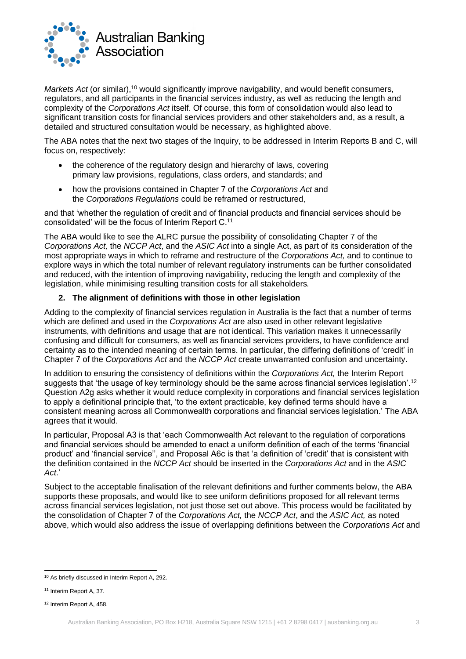

*Markets Act* (or similar),<sup>10</sup> would significantly improve navigability, and would benefit consumers, regulators, and all participants in the financial services industry, as well as reducing the length and complexity of the *Corporations Act* itself. Of course, this form of consolidation would also lead to significant transition costs for financial services providers and other stakeholders and, as a result, a detailed and structured consultation would be necessary, as highlighted above.

The ABA notes that the next two stages of the Inquiry, to be addressed in Interim Reports B and C, will focus on, respectively:

- the coherence of the regulatory design and hierarchy of laws, covering primary law provisions, regulations, class orders, and standards; and
- how the provisions contained in Chapter 7 of the *Corporations Act* and the *Corporations Regulations* could be reframed or restructured,

and that 'whether the regulation of credit and of financial products and financial services should be consolidated' will be the focus of Interim Report C.<sup>11</sup>

The ABA would like to see the ALRC pursue the possibility of consolidating Chapter 7 of the *Corporations Act,* the *NCCP Act*, and the *ASIC Act* into a single Act, as part of its consideration of the most appropriate ways in which to reframe and restructure of the *Corporations Act,* and to continue to explore ways in which the total number of relevant regulatory instruments can be further consolidated and reduced, with the intention of improving navigability, reducing the length and complexity of the legislation, while minimising resulting transition costs for all stakeholders*.*

## **2. The alignment of definitions with those in other legislation**

Adding to the complexity of financial services regulation in Australia is the fact that a number of terms which are defined and used in the *Corporations Act* are also used in other relevant legislative instruments, with definitions and usage that are not identical. This variation makes it unnecessarily confusing and difficult for consumers, as well as financial services providers, to have confidence and certainty as to the intended meaning of certain terms. In particular, the differing definitions of 'credit' in Chapter 7 of the *Corporations Act* and the *NCCP Act* create unwarranted confusion and uncertainty.

In addition to ensuring the consistency of definitions within the *Corporations Act,* the Interim Report suggests that 'the usage of key terminology should be the same across financial services legislation'.<sup>12</sup> Question A2g asks whether it would reduce complexity in corporations and financial services legislation to apply a definitional principle that, 'to the extent practicable, key defined terms should have a consistent meaning across all Commonwealth corporations and financial services legislation.' The ABA agrees that it would.

In particular, Proposal A3 is that 'each Commonwealth Act relevant to the regulation of corporations and financial services should be amended to enact a uniform definition of each of the terms 'financial product' and 'financial service'', and Proposal A6c is that 'a definition of 'credit' that is consistent with the definition contained in the *NCCP Act* should be inserted in the *Corporations Act* and in the *ASIC Act*.'

Subject to the acceptable finalisation of the relevant definitions and further comments below, the ABA supports these proposals, and would like to see uniform definitions proposed for all relevant terms across financial services legislation, not just those set out above. This process would be facilitated by the consolidation of Chapter 7 of the *Corporations Act,* the *NCCP Act*, and the *ASIC Act,* as noted above, which would also address the issue of overlapping definitions between the *Corporations Act* and

<sup>10</sup> As briefly discussed in Interim Report A, 292.

<sup>&</sup>lt;sup>11</sup> Interim Report A, 37.

<sup>12</sup> Interim Report A, 458.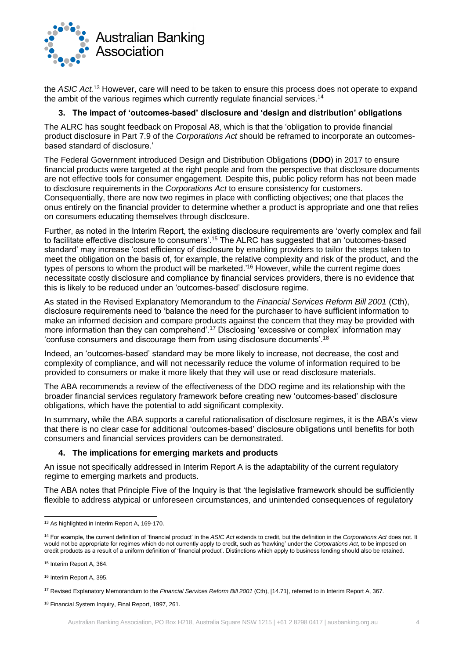

the *ASIC Act.*<sup>13</sup> However, care will need to be taken to ensure this process does not operate to expand the ambit of the various regimes which currently regulate financial services.<sup>14</sup>

## **3. The impact of 'outcomes-based' disclosure and 'design and distribution' obligations**

The ALRC has sought feedback on Proposal A8, which is that the 'obligation to provide financial product disclosure in Part 7.9 of the *Corporations Act* should be reframed to incorporate an outcomesbased standard of disclosure.'

The Federal Government introduced Design and Distribution Obligations (**DDO**) in 2017 to ensure financial products were targeted at the right people and from the perspective that disclosure documents are not effective tools for consumer engagement. Despite this, public policy reform has not been made to disclosure requirements in the *Corporations Act* to ensure consistency for customers. Consequentially, there are now two regimes in place with conflicting objectives; one that places the onus entirely on the financial provider to determine whether a product is appropriate and one that relies on consumers educating themselves through disclosure.

Further, as noted in the Interim Report, the existing disclosure requirements are 'overly complex and fail to facilitate effective disclosure to consumers'.<sup>15</sup> The ALRC has suggested that an 'outcomes-based standard' may increase 'cost efficiency of disclosure by enabling providers to tailor the steps taken to meet the obligation on the basis of, for example, the relative complexity and risk of the product, and the types of persons to whom the product will be marketed.<sup>'16</sup> However, while the current regime does necessitate costly disclosure and compliance by financial services providers, there is no evidence that this is likely to be reduced under an 'outcomes-based' disclosure regime.

As stated in the Revised Explanatory Memorandum to the *Financial Services Reform Bill 2001* (Cth), disclosure requirements need to 'balance the need for the purchaser to have sufficient information to make an informed decision and compare products against the concern that they may be provided with more information than they can comprehend'.<sup>17</sup> Disclosing 'excessive or complex' information may 'confuse consumers and discourage them from using disclosure documents'.<sup>18</sup>

Indeed, an 'outcomes-based' standard may be more likely to increase, not decrease, the cost and complexity of compliance, and will not necessarily reduce the volume of information required to be provided to consumers or make it more likely that they will use or read disclosure materials.

The ABA recommends a review of the effectiveness of the DDO regime and its relationship with the broader financial services regulatory framework before creating new 'outcomes-based' disclosure obligations, which have the potential to add significant complexity.

In summary, while the ABA supports a careful rationalisation of disclosure regimes, it is the ABA's view that there is no clear case for additional 'outcomes-based' disclosure obligations until benefits for both consumers and financial services providers can be demonstrated.

### **4. The implications for emerging markets and products**

An issue not specifically addressed in Interim Report A is the adaptability of the current regulatory regime to emerging markets and products.

The ABA notes that Principle Five of the Inquiry is that 'the legislative framework should be sufficiently flexible to address atypical or unforeseen circumstances, and unintended consequences of regulatory

<sup>13</sup> As highlighted in Interim Report A, 169-170.

<sup>14</sup> For example, the current definition of 'financial product' in the *ASIC Act* extends to credit, but the definition in the *Corporations Act* does not. It would not be appropriate for regimes which do not currently apply to credit, such as 'hawking' under the *Corporations Act*, to be imposed on credit products as a result of a uniform definition of 'financial product'. Distinctions which apply to business lending should also be retained.

<sup>15</sup> Interim Report A, 364.

<sup>16</sup> Interim Report A, 395.

<sup>17</sup> Revised Explanatory Memorandum to the *Financial Services Reform Bill 2001* (Cth), [14.71], referred to in Interim Report A, 367.

<sup>18</sup> Financial System Inquiry, Final Report, 1997, 261.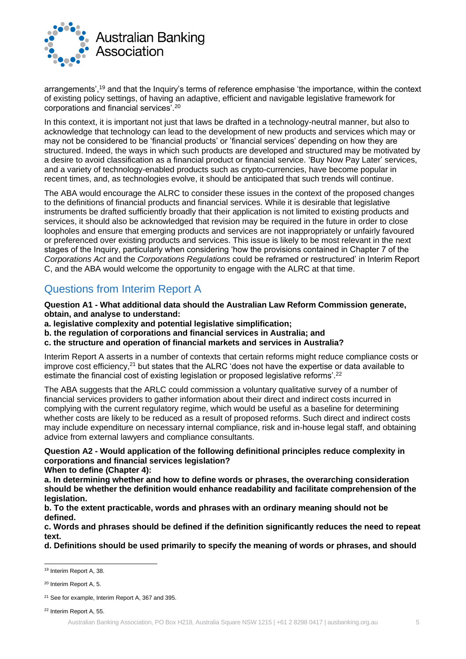

arrangements',<sup>19</sup> and that the Inquiry's terms of reference emphasise 'the importance, within the context of existing policy settings, of having an adaptive, efficient and navigable legislative framework for corporations and financial services'.<sup>20</sup>

In this context, it is important not just that laws be drafted in a technology-neutral manner, but also to acknowledge that technology can lead to the development of new products and services which may or may not be considered to be 'financial products' or 'financial services' depending on how they are structured. Indeed, the ways in which such products are developed and structured may be motivated by a desire to avoid classification as a financial product or financial service. 'Buy Now Pay Later' services, and a variety of technology-enabled products such as crypto-currencies, have become popular in recent times, and, as technologies evolve, it should be anticipated that such trends will continue.

The ABA would encourage the ALRC to consider these issues in the context of the proposed changes to the definitions of financial products and financial services. While it is desirable that legislative instruments be drafted sufficiently broadly that their application is not limited to existing products and services, it should also be acknowledged that revision may be required in the future in order to close loopholes and ensure that emerging products and services are not inappropriately or unfairly favoured or preferenced over existing products and services. This issue is likely to be most relevant in the next stages of the Inquiry, particularly when considering 'how the provisions contained in Chapter 7 of the *Corporations Act* and the *Corporations Regulations* could be reframed or restructured' in Interim Report C, and the ABA would welcome the opportunity to engage with the ALRC at that time.

## Questions from Interim Report A

**Question A1 - What additional data should the Australian Law Reform Commission generate, obtain, and analyse to understand:**

- **a. legislative complexity and potential legislative simplification;**
- **b. the regulation of corporations and financial services in Australia; and**
- **c. the structure and operation of financial markets and services in Australia?**

Interim Report A asserts in a number of contexts that certain reforms might reduce compliance costs or improve cost efficiency,<sup>21</sup> but states that the ALRC 'does not have the expertise or data available to estimate the financial cost of existing legislation or proposed legislative reforms'.<sup>22</sup>

The ABA suggests that the ARLC could commission a voluntary qualitative survey of a number of financial services providers to gather information about their direct and indirect costs incurred in complying with the current regulatory regime, which would be useful as a baseline for determining whether costs are likely to be reduced as a result of proposed reforms. Such direct and indirect costs may include expenditure on necessary internal compliance, risk and in-house legal staff, and obtaining advice from external lawyers and compliance consultants.

**Question A2 - Would application of the following definitional principles reduce complexity in corporations and financial services legislation?**

**When to define (Chapter 4):**

**a. In determining whether and how to define words or phrases, the overarching consideration should be whether the definition would enhance readability and facilitate comprehension of the legislation.**

**b. To the extent practicable, words and phrases with an ordinary meaning should not be defined.**

**c. Words and phrases should be defined if the definition significantly reduces the need to repeat text.** 

**d. Definitions should be used primarily to specify the meaning of words or phrases, and should** 

<sup>22</sup> Interim Report A, 55.

<sup>19</sup> Interim Report A, 38.

<sup>20</sup> Interim Report A, 5.

<sup>21</sup> See for example, Interim Report A, 367 and 395.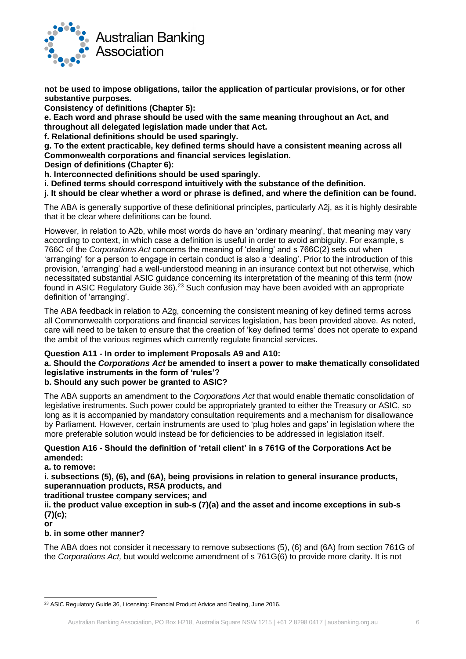

**not be used to impose obligations, tailor the application of particular provisions, or for other substantive purposes.**

**Consistency of definitions (Chapter 5):**

**e. Each word and phrase should be used with the same meaning throughout an Act, and throughout all delegated legislation made under that Act.**

**f. Relational definitions should be used sparingly.**

**g. To the extent practicable, key defined terms should have a consistent meaning across all Commonwealth corporations and financial services legislation.** 

**Design of definitions (Chapter 6):**

**h. Interconnected definitions should be used sparingly.**

**i. Defined terms should correspond intuitively with the substance of the definition.** 

**j. It should be clear whether a word or phrase is defined, and where the definition can be found.**

The ABA is generally supportive of these definitional principles, particularly A2j, as it is highly desirable that it be clear where definitions can be found.

However, in relation to A2b, while most words do have an 'ordinary meaning', that meaning may vary according to context, in which case a definition is useful in order to avoid ambiguity. For example, s 766C of the *Corporations Act* concerns the meaning of 'dealing' and s 766C(2) sets out when 'arranging' for a person to engage in certain conduct is also a 'dealing'. Prior to the introduction of this provision, 'arranging' had a well-understood meaning in an insurance context but not otherwise, which necessitated substantial ASIC guidance concerning its interpretation of the meaning of this term (now found in ASIC Regulatory Guide 36).<sup>23</sup> Such confusion may have been avoided with an appropriate definition of 'arranging'.

The ABA feedback in relation to A2g, concerning the consistent meaning of key defined terms across all Commonwealth corporations and financial services legislation, has been provided above. As noted, care will need to be taken to ensure that the creation of 'key defined terms' does not operate to expand the ambit of the various regimes which currently regulate financial services.

## **Question A11 - In order to implement Proposals A9 and A10:**

## **a. Should the** *Corporations Act* **be amended to insert a power to make thematically consolidated legislative instruments in the form of 'rules'?**

## **b. Should any such power be granted to ASIC?**

The ABA supports an amendment to the *Corporations Act* that would enable thematic consolidation of legislative instruments. Such power could be appropriately granted to either the Treasury or ASIC, so long as it is accompanied by mandatory consultation requirements and a mechanism for disallowance by Parliament. However, certain instruments are used to 'plug holes and gaps' in legislation where the more preferable solution would instead be for deficiencies to be addressed in legislation itself.

## **Question A16 - Should the definition of 'retail client' in s 761G of the Corporations Act be amended:**

**a. to remove:**

**i. subsections (5), (6), and (6A), being provisions in relation to general insurance products, superannuation products, RSA products, and**

**traditional trustee company services; and**

**ii. the product value exception in sub-s (7)(a) and the asset and income exceptions in sub-s (7)(c);**

**or**

### **b. in some other manner?**

The ABA does not consider it necessary to remove subsections (5), (6) and (6A) from section 761G of the *Corporations Act,* but would welcome amendment of s 761G(6) to provide more clarity. It is not

<sup>&</sup>lt;sup>23</sup> ASIC Requlatory Guide 36, Licensing: Financial Product Advice and Dealing, June 2016.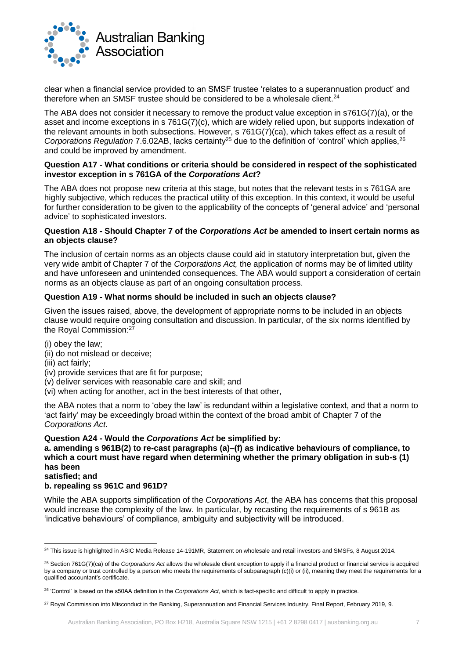

clear when a financial service provided to an SMSF trustee 'relates to a superannuation product' and therefore when an SMSF trustee should be considered to be a wholesale client.<sup>24</sup>

The ABA does not consider it necessary to remove the product value exception in s761G(7)(a), or the asset and income exceptions in s 761G(7)(c), which are widely relied upon, but supports indexation of the relevant amounts in both subsections. However, s 761G(7)(ca), which takes effect as a result of *Corporations Regulation 7.6.02AB*, lacks certainty<sup>25</sup> due to the definition of 'control' which applies, <sup>26</sup> and could be improved by amendment.

#### **Question A17 - What conditions or criteria should be considered in respect of the sophisticated investor exception in s 761GA of the** *Corporations Act***?**

The ABA does not propose new criteria at this stage, but notes that the relevant tests in s 761GA are highly subjective, which reduces the practical utility of this exception. In this context, it would be useful for further consideration to be given to the applicability of the concepts of 'general advice' and 'personal advice' to sophisticated investors.

#### **Question A18 - Should Chapter 7 of the** *Corporations Act* **be amended to insert certain norms as an objects clause?**

The inclusion of certain norms as an objects clause could aid in statutory interpretation but, given the very wide ambit of Chapter 7 of the *Corporations Act,* the application of norms may be of limited utility and have unforeseen and unintended consequences. The ABA would support a consideration of certain norms as an objects clause as part of an ongoing consultation process.

## **Question A19 - What norms should be included in such an objects clause?**

Given the issues raised, above, the development of appropriate norms to be included in an objects clause would require ongoing consultation and discussion. In particular, of the six norms identified by the Royal Commission:<sup>27</sup>

- (i) obey the law;
- (ii) do not mislead or deceive;
- (iii) act fairly;
- (iv) provide services that are fit for purpose;
- (v) deliver services with reasonable care and skill; and
- (vi) when acting for another, act in the best interests of that other,

the ABA notes that a norm to 'obey the law' is redundant within a legislative context, and that a norm to 'act fairly' may be exceedingly broad within the context of the broad ambit of Chapter 7 of the *Corporations Act.*

### **Question A24 - Would the** *Corporations Act* **be simplified by:**

**a. amending s 961B(2) to re-cast paragraphs (a)–(f) as indicative behaviours of compliance, to which a court must have regard when determining whether the primary obligation in sub-s (1) has been satisfied; and**

## **b. repealing ss 961C and 961D?**

While the ABA supports simplification of the *Corporations Act*, the ABA has concerns that this proposal would increase the complexity of the law. In particular, by recasting the requirements of s 961B as 'indicative behaviours' of compliance, ambiguity and subjectivity will be introduced.

<sup>&</sup>lt;sup>24</sup> This issue is highlighted in ASIC Media Release 14-191MR, Statement on wholesale and retail investors and SMSFs, 8 August 2014.

<sup>25</sup> Section 761G(7)(ca) of the *Corporations Act* allows the wholesale client exception to apply if a financial product or financial service is acquired by a company or trust controlled by a person who meets the requirements of subparagraph (c)(i) or (ii), meaning they meet the requirements for a qualified accountant's certificate.

<sup>26</sup> 'Control' is based on the s50AA definition in the *Corporations Act*, which is fact-specific and difficult to apply in practice.

<sup>&</sup>lt;sup>27</sup> Royal Commission into Misconduct in the Banking, Superannuation and Financial Services Industry, Final Report, February 2019, 9.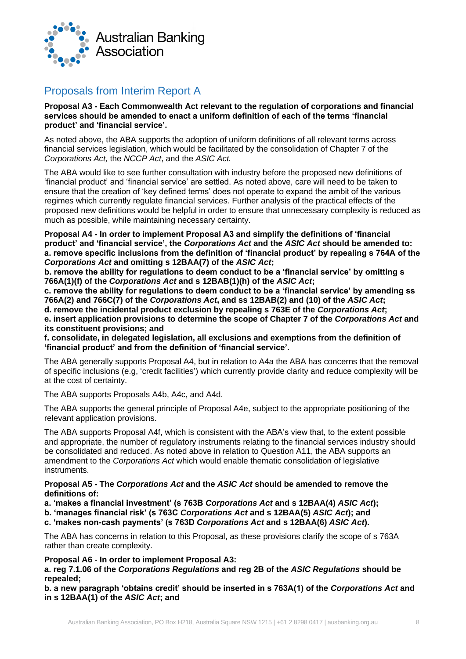

## Proposals from Interim Report A

**Proposal A3 - Each Commonwealth Act relevant to the regulation of corporations and financial services should be amended to enact a uniform definition of each of the terms 'financial product' and 'financial service'.**

As noted above, the ABA supports the adoption of uniform definitions of all relevant terms across financial services legislation, which would be facilitated by the consolidation of Chapter 7 of the *Corporations Act,* the *NCCP Act*, and the *ASIC Act.*

The ABA would like to see further consultation with industry before the proposed new definitions of 'financial product' and 'financial service' are settled. As noted above, care will need to be taken to ensure that the creation of 'key defined terms' does not operate to expand the ambit of the various regimes which currently regulate financial services. Further analysis of the practical effects of the proposed new definitions would be helpful in order to ensure that unnecessary complexity is reduced as much as possible, while maintaining necessary certainty.

**Proposal A4 - In order to implement Proposal A3 and simplify the definitions of 'financial product' and 'financial service', the** *Corporations Act* **and the** *ASIC Act* **should be amended to: a. remove specific inclusions from the definition of 'financial product' by repealing s 764A of the**  *Corporations Act* **and omitting s 12BAA(7) of the** *ASIC Act***;**

**b. remove the ability for regulations to deem conduct to be a 'financial service' by omitting s 766A(1)(f) of the** *Corporations Act* **and s 12BAB(1)(h) of the** *ASIC Act***;**

**c. remove the ability for regulations to deem conduct to be a 'financial service' by amending ss 766A(2) and 766C(7) of the** *Corporations Act***, and ss 12BAB(2) and (10) of the** *ASIC Act***; d. remove the incidental product exclusion by repealing s 763E of the** *Corporations Act***; e. insert application provisions to determine the scope of Chapter 7 of the** *Corporations Act* **and its constituent provisions; and**

**f. consolidate, in delegated legislation, all exclusions and exemptions from the definition of 'financial product' and from the definition of 'financial service'.**

The ABA generally supports Proposal A4, but in relation to A4a the ABA has concerns that the removal of specific inclusions (e.g, 'credit facilities') which currently provide clarity and reduce complexity will be at the cost of certainty.

The ABA supports Proposals A4b, A4c, and A4d.

The ABA supports the general principle of Proposal A4e, subject to the appropriate positioning of the relevant application provisions.

The ABA supports Proposal A4f, which is consistent with the ABA's view that, to the extent possible and appropriate, the number of regulatory instruments relating to the financial services industry should be consolidated and reduced. As noted above in relation to Question A11, the ABA supports an amendment to the *Corporations Act* which would enable thematic consolidation of legislative instruments.

### **Proposal A5 - The** *Corporations Act* **and the** *ASIC Act* **should be amended to remove the definitions of:**

**a. 'makes a financial investment' (s 763B** *Corporations Act* **and s 12BAA(4)** *ASIC Act***);**

**b. 'manages financial risk' (s 763C** *Corporations Act* **and s 12BAA(5)** *ASIC Act***); and**

**c. 'makes non-cash payments' (s 763D** *Corporations Act* **and s 12BAA(6)** *ASIC Act***).**

The ABA has concerns in relation to this Proposal, as these provisions clarify the scope of s 763A rather than create complexity.

## **Proposal A6 - In order to implement Proposal A3:**

**a. reg 7.1.06 of the** *Corporations Regulations* **and reg 2B of the** *ASIC Regulations* **should be repealed;**

**b. a new paragraph 'obtains credit' should be inserted in s 763A(1) of the** *Corporations Act* **and in s 12BAA(1) of the** *ASIC Act***; and**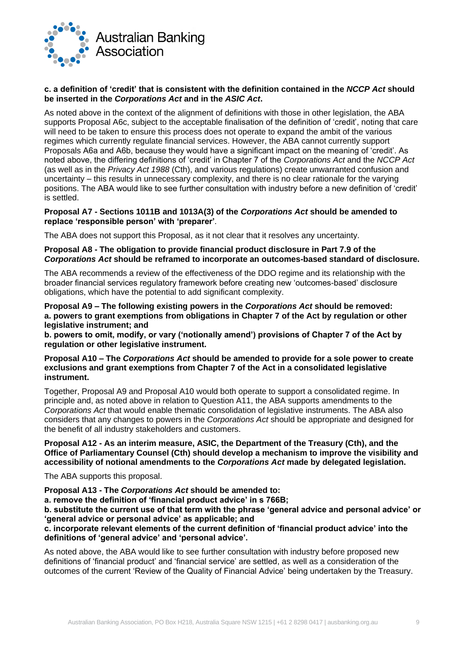

### **c. a definition of 'credit' that is consistent with the definition contained in the** *NCCP Act* **should be inserted in the** *Corporations Act* **and in the** *ASIC Act***.**

As noted above in the context of the alignment of definitions with those in other legislation, the ABA supports Proposal A6c, subject to the acceptable finalisation of the definition of 'credit', noting that care will need to be taken to ensure this process does not operate to expand the ambit of the various regimes which currently regulate financial services. However, the ABA cannot currently support Proposals A6a and A6b, because they would have a significant impact on the meaning of 'credit'. As noted above, the differing definitions of 'credit' in Chapter 7 of the *Corporations Act* and the *NCCP Act*  (as well as in the *Privacy Act 1988* (Cth), and various regulations) create unwarranted confusion and uncertainty – this results in unnecessary complexity, and there is no clear rationale for the varying positions. The ABA would like to see further consultation with industry before a new definition of 'credit' is settled.

#### **Proposal A7 - Sections 1011B and 1013A(3) of the** *Corporations Act* **should be amended to replace 'responsible person' with 'preparer'***.*

The ABA does not support this Proposal, as it not clear that it resolves any uncertainty.

**Proposal A8 - The obligation to provide financial product disclosure in Part 7.9 of the**  *Corporations Act* **should be reframed to incorporate an outcomes-based standard of disclosure.**

The ABA recommends a review of the effectiveness of the DDO regime and its relationship with the broader financial services regulatory framework before creating new 'outcomes-based' disclosure obligations, which have the potential to add significant complexity.

**Proposal A9 – The following existing powers in the** *Corporations Act* **should be removed: a. powers to grant exemptions from obligations in Chapter 7 of the Act by regulation or other legislative instrument; and**

**b. powers to omit, modify, or vary ('notionally amend') provisions of Chapter 7 of the Act by regulation or other legislative instrument.**

#### **Proposal A10 – The** *Corporations Act* **should be amended to provide for a sole power to create exclusions and grant exemptions from Chapter 7 of the Act in a consolidated legislative instrument.**

Together, Proposal A9 and Proposal A10 would both operate to support a consolidated regime. In principle and, as noted above in relation to Question A11, the ABA supports amendments to the *Corporations Act* that would enable thematic consolidation of legislative instruments. The ABA also considers that any changes to powers in the *Corporations Act* should be appropriate and designed for the benefit of all industry stakeholders and customers.

### **Proposal A12 - As an interim measure, ASIC, the Department of the Treasury (Cth), and the Office of Parliamentary Counsel (Cth) should develop a mechanism to improve the visibility and accessibility of notional amendments to the** *Corporations Act* **made by delegated legislation.**

The ABA supports this proposal.

**Proposal A13 - The** *Corporations Act* **should be amended to:**

**a. remove the definition of 'financial product advice' in s 766B;**

**b. substitute the current use of that term with the phrase 'general advice and personal advice' or 'general advice or personal advice' as applicable; and** 

**c. incorporate relevant elements of the current definition of 'financial product advice' into the definitions of 'general advice' and 'personal advice'.**

As noted above, the ABA would like to see further consultation with industry before proposed new definitions of 'financial product' and 'financial service' are settled, as well as a consideration of the outcomes of the current 'Review of the Quality of Financial Advice' being undertaken by the Treasury.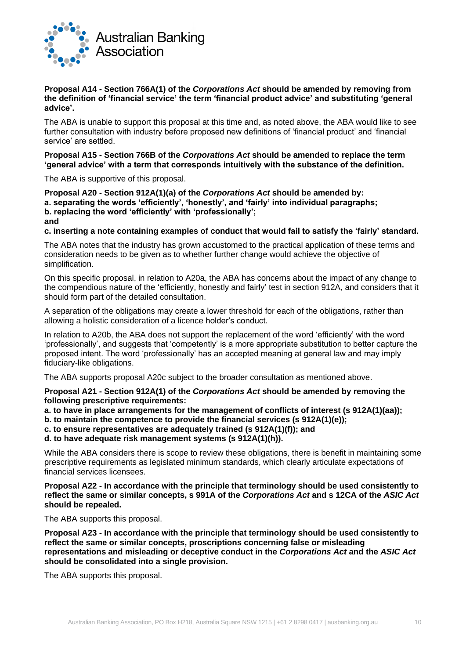

### **Proposal A14 - Section 766A(1) of the** *Corporations Act* **should be amended by removing from the definition of 'financial service' the term 'financial product advice' and substituting 'general advice'.**

The ABA is unable to support this proposal at this time and, as noted above, the ABA would like to see further consultation with industry before proposed new definitions of 'financial product' and 'financial service' are settled.

### **Proposal A15 - Section 766B of the** *Corporations Act* **should be amended to replace the term 'general advice' with a term that corresponds intuitively with the substance of the definition.**

The ABA is supportive of this proposal.

**Proposal A20 - Section 912A(1)(a) of the** *Corporations Act* **should be amended by: a. separating the words 'efficiently', 'honestly', and 'fairly' into individual paragraphs; b. replacing the word 'efficiently' with 'professionally'; and**

### **c. inserting a note containing examples of conduct that would fail to satisfy the 'fairly' standard.**

The ABA notes that the industry has grown accustomed to the practical application of these terms and consideration needs to be given as to whether further change would achieve the objective of simplification.

On this specific proposal, in relation to A20a, the ABA has concerns about the impact of any change to the compendious nature of the 'efficiently, honestly and fairly' test in section 912A, and considers that it should form part of the detailed consultation.

A separation of the obligations may create a lower threshold for each of the obligations, rather than allowing a holistic consideration of a licence holder's conduct.

In relation to A20b, the ABA does not support the replacement of the word 'efficiently' with the word 'professionally', and suggests that 'competently' is a more appropriate substitution to better capture the proposed intent. The word 'professionally' has an accepted meaning at general law and may imply fiduciary-like obligations.

The ABA supports proposal A20c subject to the broader consultation as mentioned above.

#### **Proposal A21 - Section 912A(1) of the** *Corporations Act* **should be amended by removing the following prescriptive requirements:**

**a. to have in place arrangements for the management of conflicts of interest (s 912A(1)(aa));**

**b. to maintain the competence to provide the financial services (s 912A(1)(e));**

**c. to ensure representatives are adequately trained (s 912A(1)(f)); and**

**d. to have adequate risk management systems (s 912A(1)(h)).**

While the ABA considers there is scope to review these obligations, there is benefit in maintaining some prescriptive requirements as legislated minimum standards, which clearly articulate expectations of financial services licensees.

### **Proposal A22 - In accordance with the principle that terminology should be used consistently to reflect the same or similar concepts, s 991A of the** *Corporations Act* **and s 12CA of the** *ASIC Act* **should be repealed.**

The ABA supports this proposal.

**Proposal A23 - In accordance with the principle that terminology should be used consistently to reflect the same or similar concepts, proscriptions concerning false or misleading representations and misleading or deceptive conduct in the** *Corporations Act* **and the** *ASIC Act* **should be consolidated into a single provision.**

The ABA supports this proposal.